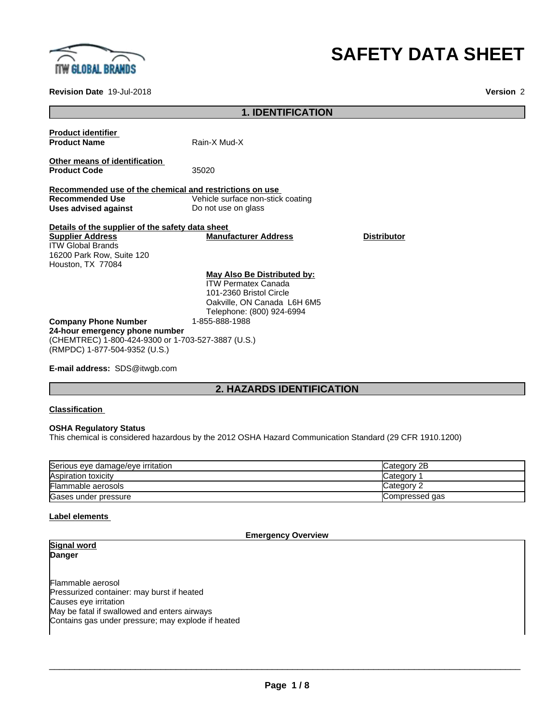

# **SAFETY DATA SHEET**

# **Revision Date** 19-Jul-2018 **Version** 2

| <b>1. IDENTIFICATION</b>                                                                                                                                  |                                                                                                                                                         |                    |  |
|-----------------------------------------------------------------------------------------------------------------------------------------------------------|---------------------------------------------------------------------------------------------------------------------------------------------------------|--------------------|--|
| <b>Product identifier</b><br><b>Product Name</b>                                                                                                          | Rain-X Mud-X                                                                                                                                            |                    |  |
| Other means of identification<br><b>Product Code</b>                                                                                                      | 35020                                                                                                                                                   |                    |  |
| Recommended use of the chemical and restrictions on use<br><b>Recommended Use</b><br><b>Uses advised against</b>                                          | Vehicle surface non-stick coating<br>Do not use on glass                                                                                                |                    |  |
| Details of the supplier of the safety data sheet<br><b>Supplier Address</b><br><b>ITW Global Brands</b><br>16200 Park Row, Suite 120<br>Houston, TX 77084 | <b>Manufacturer Address</b>                                                                                                                             | <b>Distributor</b> |  |
|                                                                                                                                                           | <b>May Also Be Distributed by:</b><br><b>ITW Permatex Canada</b><br>101-2360 Bristol Circle<br>Oakville, ON Canada L6H 6M5<br>Telephone: (800) 924-6994 |                    |  |
| <b>Company Phone Number</b><br>24-hour emergency phone number<br>(CHEMTREC) 1-800-424-9300 or 1-703-527-3887 (U.S.)<br>(RMPDC) 1-877-504-9352 (U.S.)      | 1-855-888-1988                                                                                                                                          |                    |  |
| <b>E-mail address: SDS@itwgb.com</b>                                                                                                                      |                                                                                                                                                         |                    |  |

# **2. HAZARDS IDENTIFICATION**

# **Classification**

# **OSHA Regulatory Status**

This chemical is considered hazardous by the 2012 OSHA Hazard Communication Standard (29 CFR 1910.1200)

| Serious eye damage/eye irritation | Category 2B    |
|-----------------------------------|----------------|
| Aspiration toxicity               | Category       |
| Flammable aerosols                | Category 2     |
| Gases under pressure              | Compressed gas |

# **Label elements**

**Emergency Overview**

| Signal word                                        |
|----------------------------------------------------|
| Danger                                             |
|                                                    |
| Flammable aerosol                                  |
| Pressurized container: may burst if heated         |
| Causes eye irritation                              |
| May be fatal if swallowed and enters airways       |
| Contains gas under pressure; may explode if heated |
|                                                    |
|                                                    |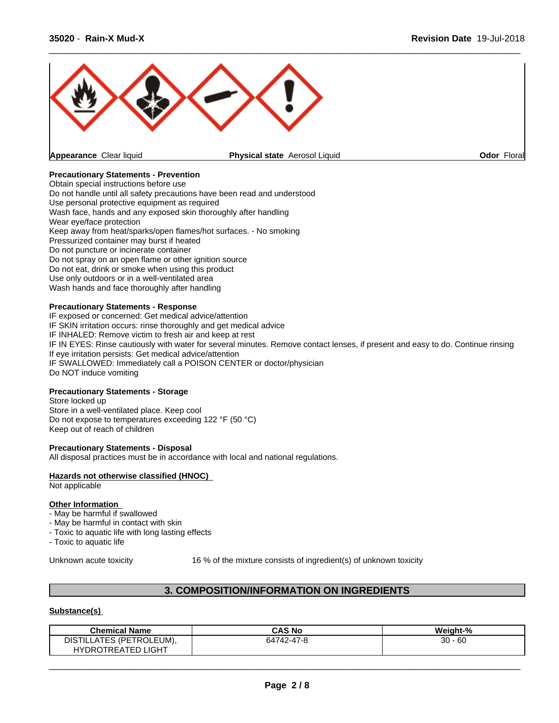

# **Precautionary Statements - Prevention**

Obtain special instructions before use Do not handle until all safety precautions have been read and understood Use personal protective equipment as required Wash face, hands and any exposed skin thoroughly after handling Wear eye/face protection Keep away from heat/sparks/open flames/hot surfaces. - No smoking Pressurized container may burst if heated Do not puncture or incinerate container Do not spray on an open flame or other ignition source Do not eat, drink or smoke when using this product Use only outdoors or in a well-ventilated area Wash hands and face thoroughly after handling

# **Precautionary Statements - Response**

IF exposed or concerned: Get medical advice/attention IF SKIN irritation occurs: rinse thoroughly and get medical advice IF INHALED: Remove victim to fresh air and keep at rest IF IN EYES: Rinse cautiously with water for several minutes. Remove contact lenses, if present and easy to do. Continue rinsing If eye irritation persists: Get medical advice/attention IF SWALLOWED: Immediately call a POISON CENTER or doctor/physician Do NOT induce vomiting

# **Precautionary Statements - Storage**

Store locked up Store in a well-ventilated place. Keep cool Do not expose to temperatures exceeding 122 °F (50 °C) Keep out of reach of children

# **Precautionary Statements - Disposal**

All disposal practices must be in accordance with local and national regulations.

# **Hazards not otherwise classified (HNOC)**

Not applicable

# **Other Information**

- May be harmful if swallowed
- May be harmful in contact with skin
- Toxic to aquatic life with long lasting effects
- Toxic to aquatic life

Unknown acute toxicity 16 % of the mixture consists of ingredient(s) of unknown toxicity

 $\overline{\phantom{a}}$  ,  $\overline{\phantom{a}}$  ,  $\overline{\phantom{a}}$  ,  $\overline{\phantom{a}}$  ,  $\overline{\phantom{a}}$  ,  $\overline{\phantom{a}}$  ,  $\overline{\phantom{a}}$  ,  $\overline{\phantom{a}}$  ,  $\overline{\phantom{a}}$  ,  $\overline{\phantom{a}}$  ,  $\overline{\phantom{a}}$  ,  $\overline{\phantom{a}}$  ,  $\overline{\phantom{a}}$  ,  $\overline{\phantom{a}}$  ,  $\overline{\phantom{a}}$  ,  $\overline{\phantom{a}}$ 

# **3. COMPOSITION/INFORMATION ON INGREDIENTS**

# **Substance(s)**

| <b>Chemical Name</b>                | <b>CAS No</b> | Weight-%   |
|-------------------------------------|---------------|------------|
| LATES (PETROLEUM),<br>DIS<br>਼ਾ⊪∟   | 64742-47-8    | 30<br>- 60 |
| <b>LIGHT</b><br><b>HYDROTREATED</b> |               |            |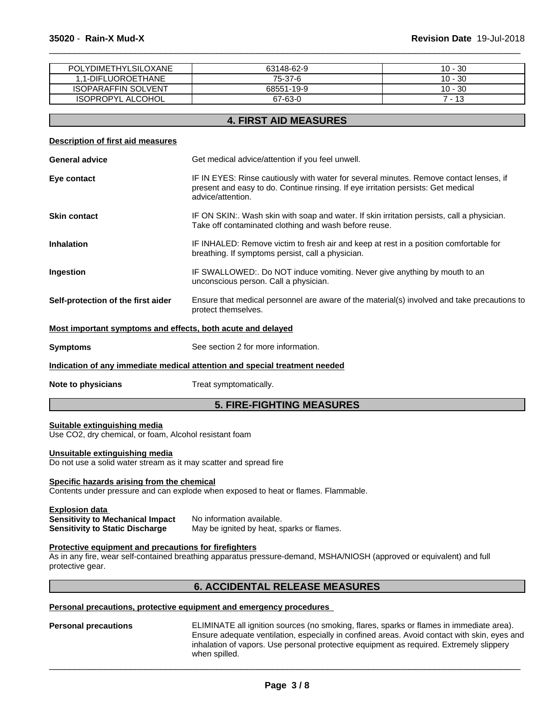| <b>POLYDIMETHYLSILOXANE</b> | 63148-62-9 | $10 - 30$ |
|-----------------------------|------------|-----------|
| 1.1-DIFLUOROETHANE          | 75-37-6    | $10 - 30$ |
| <b>ISOPARAFFIN SOLVENT</b>  | 68551-19-9 | $10 - 30$ |
| <b>ISOPROPYL ALCOHOL</b>    | 67-63-0    | ' - 13    |

 $\overline{\phantom{a}}$  ,  $\overline{\phantom{a}}$  ,  $\overline{\phantom{a}}$  ,  $\overline{\phantom{a}}$  ,  $\overline{\phantom{a}}$  ,  $\overline{\phantom{a}}$  ,  $\overline{\phantom{a}}$  ,  $\overline{\phantom{a}}$  ,  $\overline{\phantom{a}}$  ,  $\overline{\phantom{a}}$  ,  $\overline{\phantom{a}}$  ,  $\overline{\phantom{a}}$  ,  $\overline{\phantom{a}}$  ,  $\overline{\phantom{a}}$  ,  $\overline{\phantom{a}}$  ,  $\overline{\phantom{a}}$ 

# **4. FIRST AID MEASURES**

### **Description of first aid measures**

| <b>General advice</b>                                       | Get medical advice/attention if you feel unwell.                                                                                                                                                 |  |
|-------------------------------------------------------------|--------------------------------------------------------------------------------------------------------------------------------------------------------------------------------------------------|--|
| Eye contact                                                 | IF IN EYES: Rinse cautiously with water for several minutes. Remove contact lenses, if<br>present and easy to do. Continue rinsing. If eye irritation persists: Get medical<br>advice/attention. |  |
| <b>Skin contact</b>                                         | IF ON SKIN:. Wash skin with soap and water. If skin irritation persists, call a physician.<br>Take off contaminated clothing and wash before reuse.                                              |  |
| <b>Inhalation</b>                                           | IF INHALED: Remove victim to fresh air and keep at rest in a position comfortable for<br>breathing. If symptoms persist, call a physician.                                                       |  |
| Ingestion                                                   | IF SWALLOWED:. Do NOT induce vomiting. Never give anything by mouth to an<br>unconscious person. Call a physician.                                                                               |  |
| Self-protection of the first aider                          | Ensure that medical personnel are aware of the material(s) involved and take precautions to<br>protect themselves.                                                                               |  |
| Most important symptoms and effects, both acute and delayed |                                                                                                                                                                                                  |  |
| <b>Symptoms</b>                                             | See section 2 for more information.                                                                                                                                                              |  |

# **Indication of any immediate medical attention and special treatment needed**

**Note to physicians** Treat symptomatically.

# **5. FIRE-FIGHTING MEASURES**

### **Suitable extinguishing media**

Use CO2, dry chemical, or foam, Alcohol resistant foam

# **Unsuitable extinguishing media**

Do not use a solid water stream as it may scatter and spread fire

# **Specific hazards arising from the chemical**

Contents under pressure and can explode when exposed to heat or flames. Flammable.

### **Explosion data**

**Sensitivity to Mechanical Impact** No information available.<br>**Sensitivity to Static Discharge** May be ignited by heat, s May be ignited by heat, sparks or flames.

# **Protective equipment and precautions for firefighters**

As in any fire, wear self-contained breathing apparatus pressure-demand, MSHA/NIOSH (approved or equivalent) and full protective gear.

# **6. ACCIDENTAL RELEASE MEASURES**

### **Personal precautions, protective equipment and emergency procedures**

**Personal precautions** ELIMINATE all ignition sources (no smoking, flares, sparks or flames in immediate area). Ensure adequate ventilation, especially in confined areas. Avoid contact with skin, eyes and inhalation of vapors. Use personal protective equipment as required.Extremely slippery when spilled.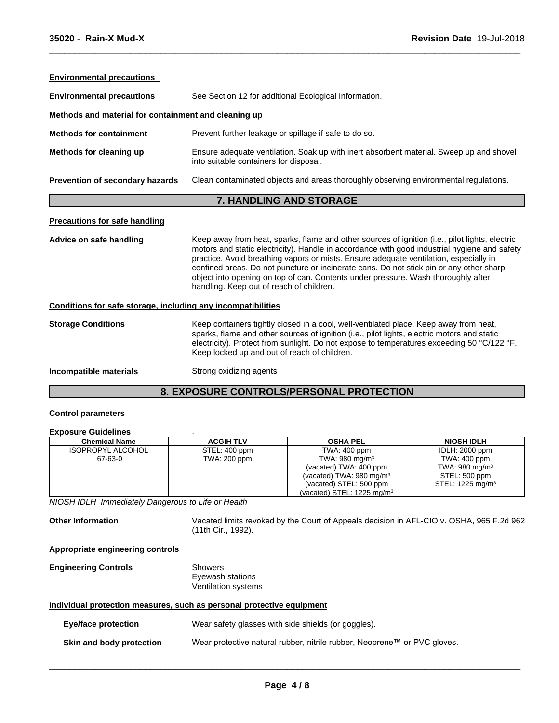| <b>Environmental precautions</b>                             |                                                                                                                                                                                                                                                                                                                                                                                                                                                                                                                     |  |  |
|--------------------------------------------------------------|---------------------------------------------------------------------------------------------------------------------------------------------------------------------------------------------------------------------------------------------------------------------------------------------------------------------------------------------------------------------------------------------------------------------------------------------------------------------------------------------------------------------|--|--|
| <b>Environmental precautions</b>                             | See Section 12 for additional Ecological Information.                                                                                                                                                                                                                                                                                                                                                                                                                                                               |  |  |
| Methods and material for containment and cleaning up         |                                                                                                                                                                                                                                                                                                                                                                                                                                                                                                                     |  |  |
| <b>Methods for containment</b>                               | Prevent further leakage or spillage if safe to do so.                                                                                                                                                                                                                                                                                                                                                                                                                                                               |  |  |
| Methods for cleaning up                                      | Ensure adequate ventilation. Soak up with inert absorbent material. Sweep up and shovel<br>into suitable containers for disposal.                                                                                                                                                                                                                                                                                                                                                                                   |  |  |
| Prevention of secondary hazards                              | Clean contaminated objects and areas thoroughly observing environmental regulations.                                                                                                                                                                                                                                                                                                                                                                                                                                |  |  |
|                                                              | <b>7. HANDLING AND STORAGE</b>                                                                                                                                                                                                                                                                                                                                                                                                                                                                                      |  |  |
| <b>Precautions for safe handling</b>                         |                                                                                                                                                                                                                                                                                                                                                                                                                                                                                                                     |  |  |
| Advice on safe handling                                      | Keep away from heat, sparks, flame and other sources of ignition (i.e., pilot lights, electric<br>motors and static electricity). Handle in accordance with good industrial hygiene and safety<br>practice. Avoid breathing vapors or mists. Ensure adequate ventilation, especially in<br>confined areas. Do not puncture or incinerate cans. Do not stick pin or any other sharp<br>object into opening on top of can. Contents under pressure. Wash thoroughly after<br>handling. Keep out of reach of children. |  |  |
| Conditions for safe storage, including any incompatibilities |                                                                                                                                                                                                                                                                                                                                                                                                                                                                                                                     |  |  |

 $\overline{\phantom{a}}$  ,  $\overline{\phantom{a}}$  ,  $\overline{\phantom{a}}$  ,  $\overline{\phantom{a}}$  ,  $\overline{\phantom{a}}$  ,  $\overline{\phantom{a}}$  ,  $\overline{\phantom{a}}$  ,  $\overline{\phantom{a}}$  ,  $\overline{\phantom{a}}$  ,  $\overline{\phantom{a}}$  ,  $\overline{\phantom{a}}$  ,  $\overline{\phantom{a}}$  ,  $\overline{\phantom{a}}$  ,  $\overline{\phantom{a}}$  ,  $\overline{\phantom{a}}$  ,  $\overline{\phantom{a}}$ 

| <b>Storage Conditions</b> | Keep containers tightly closed in a cool, well-ventilated place. Keep away from heat,<br>sparks, flame and other sources of ignition (i.e., pilot lights, electric motors and static<br>electricity). Protect from sunlight. Do not expose to temperatures exceeding 50 °C/122 °F.<br>Keep locked up and out of reach of children. |
|---------------------------|------------------------------------------------------------------------------------------------------------------------------------------------------------------------------------------------------------------------------------------------------------------------------------------------------------------------------------|
|                           |                                                                                                                                                                                                                                                                                                                                    |

# **Incompatible materials** Strong oxidizing agents

# **8. EXPOSURE CONTROLS/PERSONAL PROTECTION**

# **Control parameters**

### **Exposure Guidelines** .

| <b>Chemical Name</b> | <b>ACGIH TLV</b> | <b>OSHA PEL</b>                       | <b>NIOSH IDLH</b>            |
|----------------------|------------------|---------------------------------------|------------------------------|
| ISOPROPYL ALCOHOL    | STEL: 400 ppm    | TWA: 400 ppm                          | <b>IDLH: 2000 ppm</b>        |
| 67-63-0              | TWA: 200 ppm     | TWA: 980 mg/m $3$                     | TWA: 400 ppm                 |
|                      |                  | (vacated) TWA: 400 ppm                | TWA: 980 mg/m $3$            |
|                      |                  | (vacated) TWA: $980 \text{ mg/m}^3$   | STEL: 500 ppm                |
|                      |                  | (vacated) STEL: 500 ppm               | STEL: 1225 mg/m <sup>3</sup> |
|                      |                  | (vacated) STEL: $1225 \text{ mg/m}^3$ |                              |

*NIOSH IDLH Immediately Dangerous to Life or Health*

Other Information Vacated limits revoked by the Court of Appeals decision in AFL-CIO v. OSHA, 965 F.2d 962 (11th Cir., 1992).

**Appropriate engineering controls**

| <b>Engineering Controls</b> | <b>Showers</b>      |  |
|-----------------------------|---------------------|--|
|                             | Eyewash stations    |  |
|                             | Ventilation systems |  |

# **Individual protection measures, such as personal protective equipment**

| <b>Eye/face protection</b> | Wear safety glasses with side shields (or goggles).                      |
|----------------------------|--------------------------------------------------------------------------|
| Skin and body protection   | Wear protective natural rubber, nitrile rubber, Neoprene™ or PVC gloves. |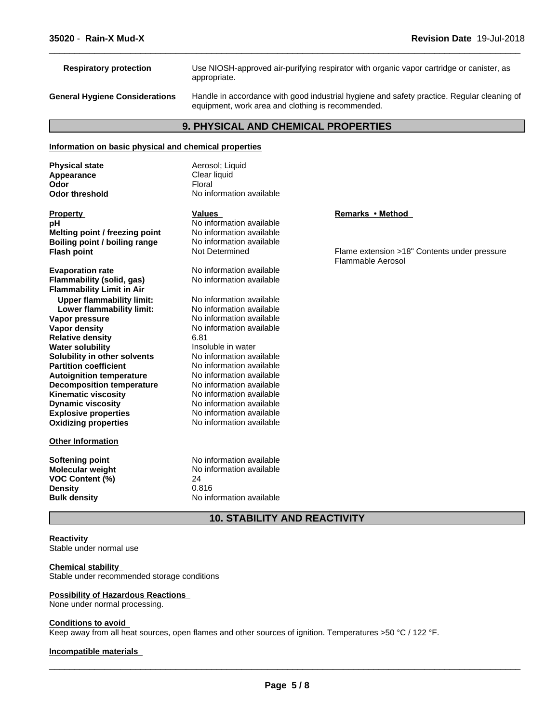| Use NIOSH-approved air-purifying respirator with organic vapor cartridge or canister, as<br><b>Respiratory protection</b><br>appropriate. |                                                                                                                                                 |
|-------------------------------------------------------------------------------------------------------------------------------------------|-------------------------------------------------------------------------------------------------------------------------------------------------|
| <b>General Hygiene Considerations</b>                                                                                                     | Handle in accordance with good industrial hygiene and safety practice. Regular cleaning of<br>equipment, work area and clothing is recommended. |
|                                                                                                                                           |                                                                                                                                                 |

 $\overline{\phantom{a}}$  ,  $\overline{\phantom{a}}$  ,  $\overline{\phantom{a}}$  ,  $\overline{\phantom{a}}$  ,  $\overline{\phantom{a}}$  ,  $\overline{\phantom{a}}$  ,  $\overline{\phantom{a}}$  ,  $\overline{\phantom{a}}$  ,  $\overline{\phantom{a}}$  ,  $\overline{\phantom{a}}$  ,  $\overline{\phantom{a}}$  ,  $\overline{\phantom{a}}$  ,  $\overline{\phantom{a}}$  ,  $\overline{\phantom{a}}$  ,  $\overline{\phantom{a}}$  ,  $\overline{\phantom{a}}$ 

# **9. PHYSICAL AND CHEMICAL PROPERTIES**

# **Information on basic physical and chemical properties**

| <b>Physical state</b>                | Aerosol; Liquid          |                     |
|--------------------------------------|--------------------------|---------------------|
| Appearance                           | Clear liquid             |                     |
| Odor                                 | Floral                   |                     |
| <b>Odor threshold</b>                | No information available |                     |
| <b>Property</b>                      | <b>Values</b>            | <b>Remarks</b>      |
| рH                                   | No information available |                     |
| Melting point / freezing point       | No information available |                     |
| <b>Boiling point / boiling range</b> | No information available |                     |
| <b>Flash point</b>                   | Not Determined           | Flame ex<br>Flammat |
| <b>Evaporation rate</b>              | No information available |                     |
| Flammability (solid, gas)            | No information available |                     |
| <b>Flammability Limit in Air</b>     |                          |                     |
| <b>Upper flammability limit:</b>     | No information available |                     |
| Lower flammability limit:            | No information available |                     |
| Vapor pressure                       | No information available |                     |
| <b>Vapor density</b>                 | No information available |                     |
| <b>Relative density</b>              | 6.81                     |                     |
| <b>Water solubility</b>              | Insoluble in water       |                     |
| Solubility in other solvents         | No information available |                     |
| <b>Partition coefficient</b>         | No information available |                     |
| <b>Autoignition temperature</b>      | No information available |                     |
| <b>Decomposition temperature</b>     | No information available |                     |
| <b>Kinematic viscosity</b>           | No information available |                     |
| <b>Dynamic viscosity</b>             | No information available |                     |
| <b>Explosive properties</b>          | No information available |                     |
| <b>Oxidizing properties</b>          | No information available |                     |
| <b>Other Information</b>             |                          |                     |
| <b>Softening point</b>               | No information available |                     |
| <b>Molecular weight</b>              | No information available |                     |
| <b>VOC Content (%)</b>               | 24                       |                     |
| <b>Density</b>                       | 0.816                    |                     |
| <b>Bulk density</b>                  | No information available |                     |

# **Remarks** • Method

Flame extension >18" Contents under pressure Flammable Aerosol

# **10. STABILITY AND REACTIVITY**

### **Reactivity** Stable under normal use

**Chemical stability** Stable under recommended storage conditions

# **Possibility of Hazardous Reactions**

None under normal processing.

# **Conditions to avoid**

Keep away from all heat sources, open flames and other sources of ignition. Temperatures >50 °C / 122 °F.

# **Incompatible materials**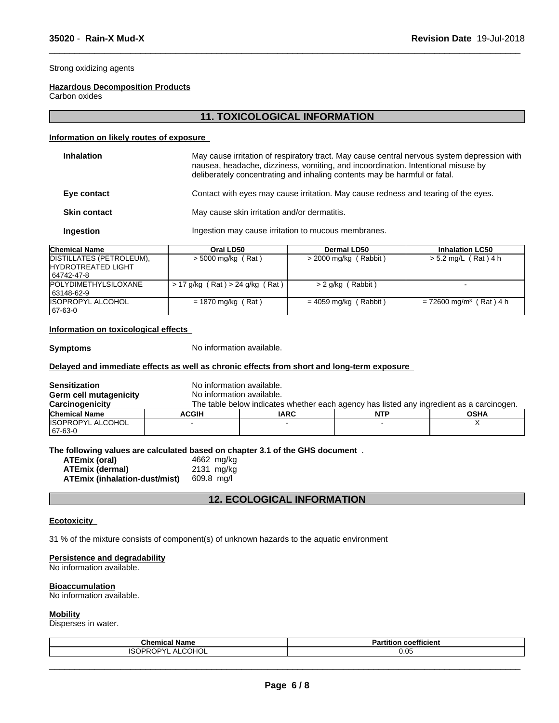Strong oxidizing agents

### **Hazardous Decomposition Products**

Carbon oxides

# **11. TOXICOLOGICAL INFORMATION**

 $\overline{\phantom{a}}$  ,  $\overline{\phantom{a}}$  ,  $\overline{\phantom{a}}$  ,  $\overline{\phantom{a}}$  ,  $\overline{\phantom{a}}$  ,  $\overline{\phantom{a}}$  ,  $\overline{\phantom{a}}$  ,  $\overline{\phantom{a}}$  ,  $\overline{\phantom{a}}$  ,  $\overline{\phantom{a}}$  ,  $\overline{\phantom{a}}$  ,  $\overline{\phantom{a}}$  ,  $\overline{\phantom{a}}$  ,  $\overline{\phantom{a}}$  ,  $\overline{\phantom{a}}$  ,  $\overline{\phantom{a}}$ 

### **Information on likely routes of exposure**

| <b>Inhalation</b>   | May cause irritation of respiratory tract. May cause central nervous system depression with<br>nausea, headache, dizziness, vomiting, and incoordination. Intentional misuse by<br>deliberately concentrating and inhaling contents may be harmful or fatal. |
|---------------------|--------------------------------------------------------------------------------------------------------------------------------------------------------------------------------------------------------------------------------------------------------------|
| Eye contact         | Contact with eyes may cause irritation. May cause redness and tearing of the eyes.                                                                                                                                                                           |
| <b>Skin contact</b> | May cause skin irritation and/or dermatitis.                                                                                                                                                                                                                 |
| Ingestion           | Ingestion may cause irritation to mucous membranes.                                                                                                                                                                                                          |

| <b>Chemical Name</b>                                                 | Oral LD50                           | Dermal LD50             | <b>Inhalation LC50</b>                |
|----------------------------------------------------------------------|-------------------------------------|-------------------------|---------------------------------------|
| DISTILLATES (PETROLEUM),<br><b>IHYDROTREATED LIGHT</b><br>64742-47-8 | $>$ 5000 mg/kg (Rat)                | $>$ 2000 mg/kg (Rabbit) | > 5.2 mg/L (Rat) 4 h                  |
| POLYDIMETHYLSILOXANE<br>63148-62-9                                   | $> 17$ g/kg (Rat) $> 24$ g/kg (Rat) | > 2 g/kg (Rabbit)       |                                       |
| <b>ISOPROPYL ALCOHOL</b><br>167-63-0                                 | $= 1870$ mg/kg (Rat)                | $= 4059$ mg/kg (Rabbit) | $= 72600$ mg/m <sup>3</sup> (Rat) 4 h |

### **Information on toxicological effects**

**Symptoms** No information available.

# **Delayed and immediate effects as well as chronic effects from short and long-term exposure**

| <b>Sensitization</b><br>Germ cell mutagenicity | No information available.<br>No information available. |             |                                                                                          |             |
|------------------------------------------------|--------------------------------------------------------|-------------|------------------------------------------------------------------------------------------|-------------|
| Carcinogenicity                                |                                                        |             | The table below indicates whether each agency has listed any ingredient as a carcinogen. |             |
| Chemical Name                                  | ACGIH                                                  | <b>IARC</b> | NTP                                                                                      | <b>OSHA</b> |
| <b>IISOPROPYL ALCOHOL</b>                      |                                                        |             |                                                                                          |             |
| 67-63-0                                        |                                                        |             |                                                                                          |             |

### **The following values are calculated based on chapter 3.1 of the GHS document** .

| ATEmix (oral)                        | 4662 mg/kg |
|--------------------------------------|------------|
| ATEmix (dermal)                      | 2131 mg/kg |
| <b>ATEmix (inhalation-dust/mist)</b> | 609.8 ma/l |

# **12. ECOLOGICAL INFORMATION**

### **Ecotoxicity**

31 % of the mixture consists of component(s) of unknown hazards to the aquatic environment

# **Persistence and degradability**

No information available.

# **Bioaccumulation**

No information available.

# **Mobility**

Disperses in water.

| $R_{hams}$<br><b>Chemical Name</b>                    | $- - -$<br>∖ coefficient<br>artition |
|-------------------------------------------------------|--------------------------------------|
| ALCOHOL <sup>*</sup><br>ים ט<br>. .<br>IUV.<br>╵<br>- | .07<br>u.uo                          |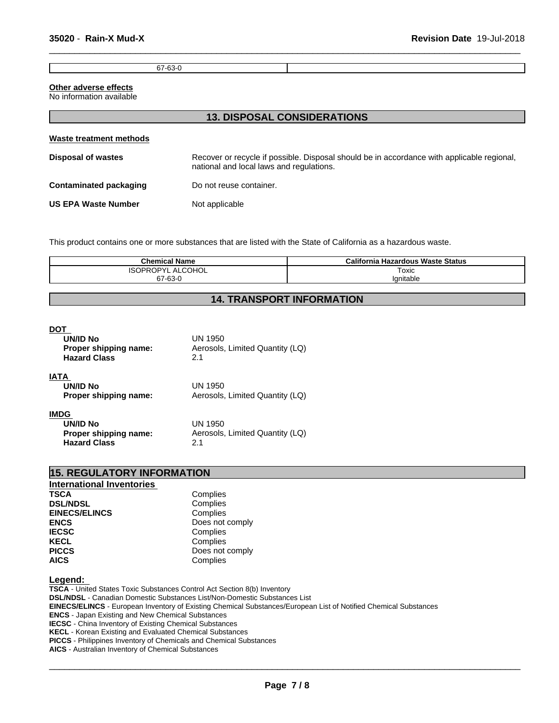67-63-0

**Other adverse effects**

| No information available |  |  |
|--------------------------|--|--|
|--------------------------|--|--|

| <b>13. DISPOSAL CONSIDERATIONS</b> |                                                                                                                                        |  |
|------------------------------------|----------------------------------------------------------------------------------------------------------------------------------------|--|
| Waste treatment methods            |                                                                                                                                        |  |
| <b>Disposal of wastes</b>          | Recover or recycle if possible. Disposal should be in accordance with applicable regional,<br>national and local laws and regulations. |  |
| Contaminated packaging             | Do not reuse container.                                                                                                                |  |
| <b>US EPA Waste Number</b>         | Not applicable                                                                                                                         |  |

 $\overline{\phantom{a}}$  ,  $\overline{\phantom{a}}$  ,  $\overline{\phantom{a}}$  ,  $\overline{\phantom{a}}$  ,  $\overline{\phantom{a}}$  ,  $\overline{\phantom{a}}$  ,  $\overline{\phantom{a}}$  ,  $\overline{\phantom{a}}$  ,  $\overline{\phantom{a}}$  ,  $\overline{\phantom{a}}$  ,  $\overline{\phantom{a}}$  ,  $\overline{\phantom{a}}$  ,  $\overline{\phantom{a}}$  ,  $\overline{\phantom{a}}$  ,  $\overline{\phantom{a}}$  ,  $\overline{\phantom{a}}$ 

This product contains one or more substances that are listed with the State of California as a hazardous waste.

| <b>Chemical Name</b>          | California<br>a Hazardous Waste Status |
|-------------------------------|----------------------------------------|
| ALCOHOL<br>ISO<br>OPYI<br>אטו | Toxic                                  |
| 7-63-0<br>$\sim$              | lanıtable                              |

# **14. TRANSPORT INFORMATION**

### **DOT**

| <b>UN/ID No</b><br>Proper shipping name:<br><b>Hazard Class</b>         | UN 1950<br>Aerosols, Limited Quantity (LQ)<br>2.1 |  |
|-------------------------------------------------------------------------|---------------------------------------------------|--|
| IATA<br>UN/ID No<br>Proper shipping name:                               | UN 1950<br>Aerosols, Limited Quantity (LQ)        |  |
| IMDG<br><b>UN/ID No</b><br>Proper shipping name:<br><b>Hazard Class</b> | UN 1950<br>Aerosols, Limited Quantity (LQ)<br>2.1 |  |

| <b>15. REGULATORY INFORMATION</b> |                 |  |
|-----------------------------------|-----------------|--|
| <b>International Inventories</b>  |                 |  |
| <b>TSCA</b>                       | Complies        |  |
| <b>DSL/NDSL</b>                   | Complies        |  |
| <b>EINECS/ELINCS</b>              | Complies        |  |
| <b>ENCS</b>                       | Does not comply |  |
| <b>IECSC</b>                      | Complies        |  |
| <b>KECL</b>                       | Complies        |  |
| <b>PICCS</b>                      | Does not comply |  |
| <b>AICS</b>                       | Complies        |  |

# **Legend:**

**TSCA** - United States Toxic Substances Control Act Section 8(b) Inventory **DSL/NDSL** - Canadian Domestic Substances List/Non-Domestic Substances List **EINECS/ELINCS** - European Inventory of Existing Chemical Substances/European List of Notified Chemical Substances **ENCS** - Japan Existing and New Chemical Substances **IECSC** - China Inventory of Existing Chemical Substances **KECL** - Korean Existing and Evaluated Chemical Substances **PICCS** - Philippines Inventory of Chemicals and Chemical Substances